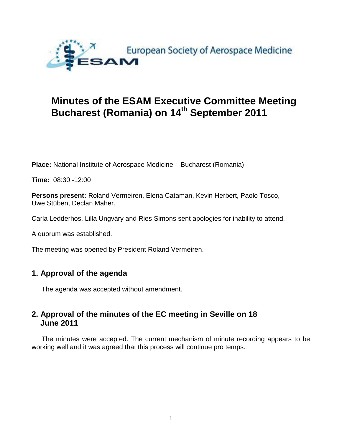

# **Minutes of the ESAM Executive Committee Meeting Bucharest (Romania) on 14th September 2011**

**Place:** National Institute of Aerospace Medicine – Bucharest (Romania)

**Time:** 08:30 -12:00

**Persons present:** Roland Vermeiren, Elena Cataman, Kevin Herbert, Paolo Tosco, Uwe Stüben, Declan Maher.

Carla Ledderhos, Lilla Ungváry and Ries Simons sent apologies for inability to attend.

A quorum was established.

The meeting was opened by President Roland Vermeiren.

# **1. Approval of the agenda**

The agenda was accepted without amendment.

# **2. Approval of the minutes of the EC meeting in Seville on 18 June 2011**

The minutes were accepted. The current mechanism of minute recording appears to be working well and it was agreed that this process will continue pro temps.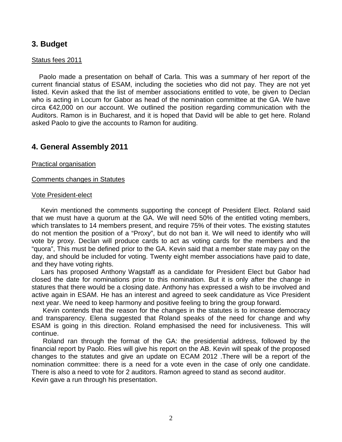# **3. Budget**

### Status fees 2011

 Paolo made a presentation on behalf of Carla. This was a summary of her report of the current financial status of ESAM, including the societies who did not pay. They are not yet listed. Kevin asked that the list of member associations entitled to vote, be given to Declan who is acting in Locum for Gabor as head of the nomination committee at the GA. We have circa €42,000 on our account. We outlined the position regarding communication with the Auditors. Ramon is in Bucharest, and it is hoped that David will be able to get here. Roland asked Paolo to give the accounts to Ramon for auditing.

### **4. General Assembly 2011**

### Practical organisation

### Comments changes in Statutes

#### Vote President-elect

 Kevin mentioned the comments supporting the concept of President Elect. Roland said that we must have a quorum at the GA. We will need 50% of the entitled voting members, which translates to 14 members present, and require 75% of their votes. The existing statutes do not mention the position of a "Proxy", but do not ban it. We will need to identify who will vote by proxy. Declan will produce cards to act as voting cards for the members and the "quora", This must be defined prior to the GA. Kevin said that a member state may pay on the day, and should be included for voting. Twenty eight member associations have paid to date, and they have voting rights.

 Lars has proposed Anthony Wagstaff as a candidate for President Elect but Gabor had closed the date for nominations prior to this nomination. But it is only after the change in statures that there would be a closing date. Anthony has expressed a wish to be involved and active again in ESAM. He has an interest and agreed to seek candidature as Vice President next year. We need to keep harmony and positive feeling to bring the group forward.

 Kevin contends that the reason for the changes in the statutes is to increase democracy and transparency. Elena suggested that Roland speaks of the need for change and why ESAM is going in this direction. Roland emphasised the need for inclusiveness. This will continue.

 Roland ran through the format of the GA: the presidential address, followed by the financial report by Paolo. Ries will give his report on the AB. Kevin will speak of the proposed changes to the statutes and give an update on ECAM 2012 .There will be a report of the nomination committee: there is a need for a vote even in the case of only one candidate. There is also a need to vote for 2 auditors. Ramon agreed to stand as second auditor.

Kevin gave a run through his presentation.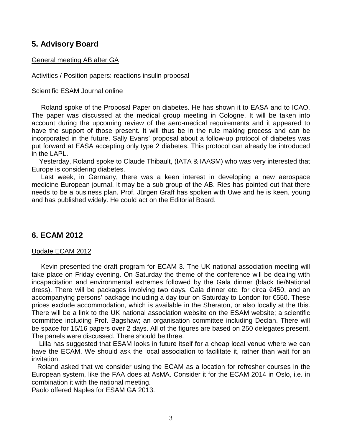# **5. Advisory Board**

### General meeting AB after GA

### Activities / Position papers: reactions insulin proposal

### Scientific ESAM Journal online

 Roland spoke of the Proposal Paper on diabetes. He has shown it to EASA and to ICAO. The paper was discussed at the medical group meeting in Cologne. It will be taken into account during the upcoming review of the aero-medical requirements and it appeared to have the support of those present. It will thus be in the rule making process and can be incorporated in the future. Sally Evans' proposal about a follow-up protocol of diabetes was put forward at EASA accepting only type 2 diabetes. This protocol can already be introduced in the LAPL.

 Yesterday, Roland spoke to Claude Thibault, (IATA & IAASM) who was very interested that Europe is considering diabetes.

 Last week, in Germany, there was a keen interest in developing a new aerospace medicine European journal. It may be a sub group of the AB. Ries has pointed out that there needs to be a business plan. Prof. Jürgen Graff has spoken with Uwe and he is keen, young and has published widely. He could act on the Editorial Board.

# **6. ECAM 2012**

### Update ECAM 2012

 Kevin presented the draft program for ECAM 3. The UK national association meeting will take place on Friday evening. On Saturday the theme of the conference will be dealing with incapacitation and environmental extremes followed by the Gala dinner (black tie/National dress). There will be packages involving two days, Gala dinner etc. for circa €450, and an accompanying persons' package including a day tour on Saturday to London for €550. These prices exclude accommodation, which is available in the Sheraton, or also locally at the Ibis. There will be a link to the UK national association website on the ESAM website; a scientific committee including Prof. Bagshaw; an organisation committee including Declan. There will be space for 15/16 papers over 2 days. All of the figures are based on 250 delegates present. The panels were discussed. There should be three.

 Lilla has suggested that ESAM looks in future itself for a cheap local venue where we can have the ECAM. We should ask the local association to facilitate it, rather than wait for an invitation.

 Roland asked that we consider using the ECAM as a location for refresher courses in the European system, like the FAA does at AsMA. Consider it for the ECAM 2014 in Oslo, i.e. in combination it with the national meeting.

Paolo offered Naples for ESAM GA 2013.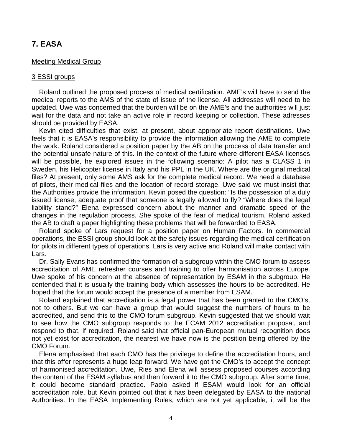# **7. EASA**

### Meeting Medical Group

### 3 ESSI groups

 Roland outlined the proposed process of medical certification. AME's will have to send the medical reports to the AMS of the state of issue of the license. All addresses will need to be updated. Uwe was concerned that the burden will be on the AME's and the authorities will just wait for the data and not take an active role in record keeping or collection. These adresses should be provided by EASA.

 Kevin cited difficulties that exist, at present, about appropriate report destinations. Uwe feels that it is EASA's responsibility to provide the information allowing the AME to complete the work. Roland considered a position paper by the AB on the process of data transfer and the potential unsafe nature of this. In the context of the future where different EASA licenses will be possible, he explored issues in the following scenario: A pilot has a CLASS 1 in Sweden, his Helicopter license in Italy and his PPL in the UK. Where are the original medical files? At present, only some AMS ask for the complete medical record. We need a database of pilots, their medical files and the location of record storage. Uwe said we must insist that the Authorities provide the information. Kevin posed the question: "Is the possession of a duly issued license, adequate proof that someone is legally allowed to fly? "Where does the legal liability stand?" Elena expressed concern about the manner and dramatic speed of the changes in the regulation process. She spoke of the fear of medical tourism. Roland asked the AB to draft a paper highlighting these problems that will be forwarded to EASA.

 Roland spoke of Lars request for a position paper on Human Factors. In commercial operations, the ESSI group should look at the safety issues regarding the medical certification for pilots in different types of operations. Lars is very active and Roland will make contact with Lars.

 Dr. Sally Evans has confirmed the formation of a subgroup within the CMO forum to assess accreditation of AME refresher courses and training to offer harmonisation across Europe. Uwe spoke of his concern at the absence of representation by ESAM in the subgroup. He contended that it is usually the training body which assesses the hours to be accredited. He hoped that the forum would accept the presence of a member from ESAM.

 Roland explained that accreditation is a legal power that has been granted to the CMO's, not to others. But we can have a group that would suggest the numbers of hours to be accredited, and send this to the CMO forum subgroup. Kevin suggested that we should wait to see how the CMO subgroup responds to the ECAM 2012 accreditation proposal, and respond to that, if required. Roland said that official pan-European mutual recognition does not yet exist for accreditation, the nearest we have now is the position being offered by the CMO Forum.

 Elena emphasised that each CMO has the privilege to define the accreditation hours, and that this offer represents a huge leap forward. We have got the CMO's to accept the concept of harmonised accreditation. Uwe, Ries and Elena will assess proposed courses according the content of the ESAM syllabus and then forward it to the CMO subgroup. After some time, it could become standard practice. Paolo asked if ESAM would look for an official accreditation role, but Kevin pointed out that it has been delegated by EASA to the national Authorities. In the EASA Implementing Rules, which are not yet applicable, it will be the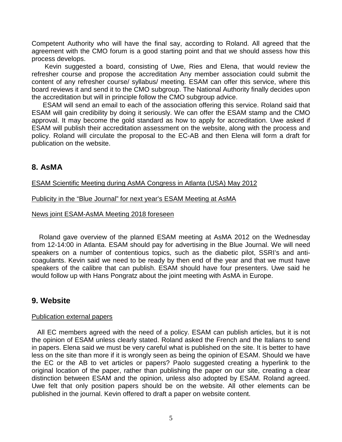Competent Authority who will have the final say, according to Roland. All agreed that the agreement with the CMO forum is a good starting point and that we should assess how this process develops.

 Kevin suggested a board, consisting of Uwe, Ries and Elena, that would review the refresher course and propose the accreditation Any member association could submit the content of any refresher course/ syllabus/ meeting. ESAM can offer this service, where this board reviews it and send it to the CMO subgroup. The National Authority finally decides upon the accreditation but will in principle follow the CMO subgroup advice.

 ESAM will send an email to each of the association offering this service. Roland said that ESAM will gain credibility by doing it seriously. We can offer the ESAM stamp and the CMO approval. It may become the gold standard as how to apply for accreditation. Uwe asked if ESAM will publish their accreditation assessment on the website, along with the process and policy. Roland will circulate the proposal to the EC-AB and then Elena will form a draft for publication on the website.

### **8. AsMA**

### ESAM Scientific Meeting during AsMA Congress in Atlanta (USA) May 2012

### Publicity in the "Blue Journal" for next year's ESAM Meeting at AsMA

### News joint ESAM-AsMA Meeting 2018 foreseen

 Roland gave overview of the planned ESAM meeting at AsMA 2012 on the Wednesday from 12-14:00 in Atlanta. ESAM should pay for advertising in the Blue Journal. We will need speakers on a number of contentious topics, such as the diabetic pilot, SSRI's and anticoagulants. Kevin said we need to be ready by then end of the year and that we must have speakers of the calibre that can publish. ESAM should have four presenters. Uwe said he would follow up with Hans Pongratz about the joint meeting with AsMA in Europe.

### **9. Website**

### Publication external papers

 All EC members agreed with the need of a policy. ESAM can publish articles, but it is not the opinion of ESAM unless clearly stated. Roland asked the French and the Italians to send in papers. Elena said we must be very careful what is published on the site. It is better to have less on the site than more if it is wrongly seen as being the opinion of ESAM. Should we have the EC or the AB to vet articles or papers? Paolo suggested creating a hyperlink to the original location of the paper, rather than publishing the paper on our site, creating a clear distinction between ESAM and the opinion, unless also adopted by ESAM. Roland agreed. Uwe felt that only position papers should be on the website. All other elements can be published in the journal. Kevin offered to draft a paper on website content.